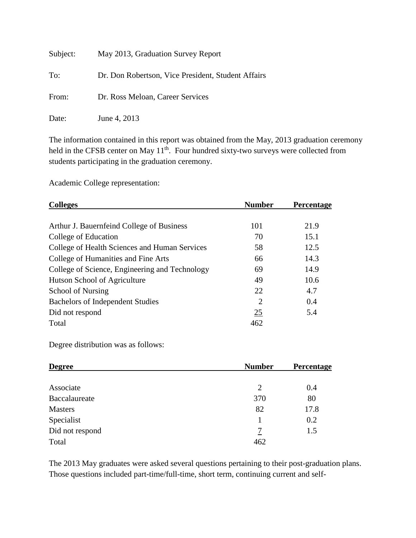| Subject: | May 2013, Graduation Survey Report                 |
|----------|----------------------------------------------------|
| To:      | Dr. Don Robertson, Vice President, Student Affairs |
| From:    | Dr. Ross Meloan, Career Services                   |
| Date:    | June 4, 2013                                       |

The information contained in this report was obtained from the May, 2013 graduation ceremony held in the CFSB center on May 11<sup>th</sup>. Four hundred sixty-two surveys were collected from students participating in the graduation ceremony.

Academic College representation:

| <b>Number</b>  | <b>Percentage</b> |
|----------------|-------------------|
|                |                   |
| 101            | 21.9              |
| 70             | 15.1              |
| 58             | 12.5              |
| 66             | 14.3              |
| 69             | 14.9              |
| 49             | 10.6              |
| 22             | 4.7               |
| $\overline{2}$ | 0.4               |
| 25             | 5.4               |
| 462            |                   |
|                |                   |

Degree distribution was as follows:

| <b>Degree</b>   | <b>Number</b> | <b>Percentage</b> |
|-----------------|---------------|-------------------|
|                 |               |                   |
| Associate       | 2             | 0.4               |
| Baccalaureate   | 370           | 80                |
| <b>Masters</b>  | 82            | 17.8              |
| Specialist      |               | 0.2               |
| Did not respond | 7             | 1.5               |
| Total           | 462           |                   |

The 2013 May graduates were asked several questions pertaining to their post-graduation plans. Those questions included part-time/full-time, short term, continuing current and self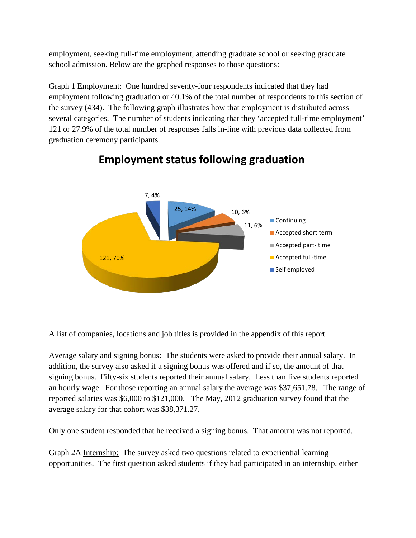employment, seeking full-time employment, attending graduate school or seeking graduate school admission. Below are the graphed responses to those questions:

Graph 1 Employment: One hundred seventy-four respondents indicated that they had employment following graduation or 40.1% of the total number of respondents to this section of the survey (434). The following graph illustrates how that employment is distributed across several categories. The number of students indicating that they 'accepted full-time employment' 121 or 27.9% of the total number of responses falls in-line with previous data collected from graduation ceremony participants.



## **Employment status following graduation**

A list of companies, locations and job titles is provided in the appendix of this report

Average salary and signing bonus: The students were asked to provide their annual salary. In addition, the survey also asked if a signing bonus was offered and if so, the amount of that signing bonus. Fifty-six students reported their annual salary. Less than five students reported an hourly wage. For those reporting an annual salary the average was \$37,651.78. The range of reported salaries was \$6,000 to \$121,000. The May, 2012 graduation survey found that the average salary for that cohort was \$38,371.27.

Only one student responded that he received a signing bonus. That amount was not reported.

Graph 2A Internship: The survey asked two questions related to experiential learning opportunities. The first question asked students if they had participated in an internship, either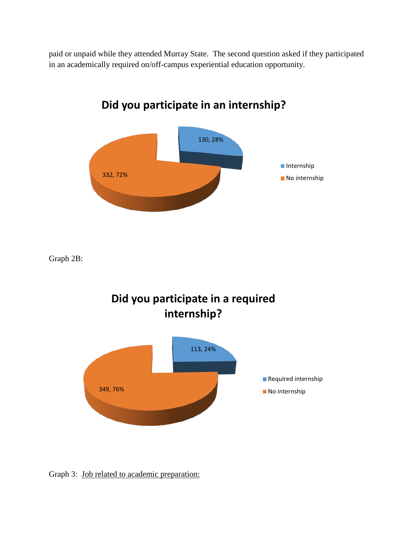paid or unpaid while they attended Murray State. The second question asked if they participated in an academically required on/off-campus experiential education opportunity.



Graph 2B:



Graph 3: Job related to academic preparation: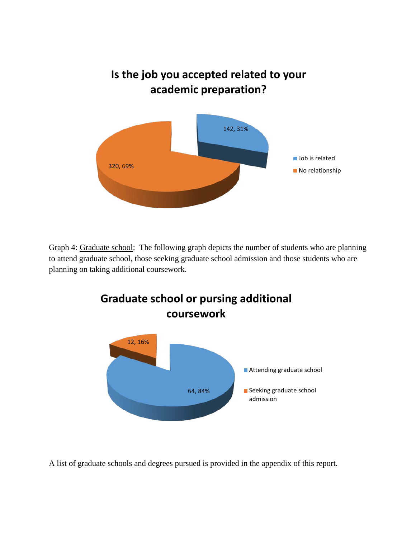

Graph 4: Graduate school: The following graph depicts the number of students who are planning to attend graduate school, those seeking graduate school admission and those students who are planning on taking additional coursework.



A list of graduate schools and degrees pursued is provided in the appendix of this report.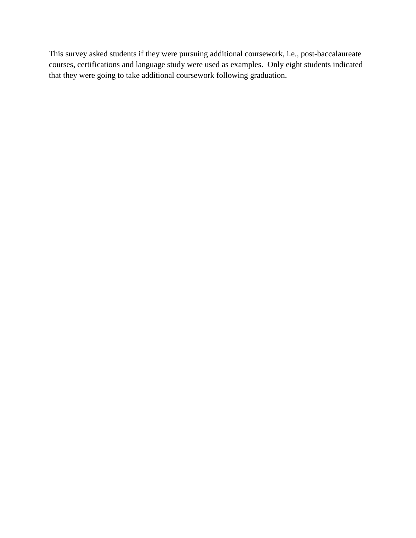This survey asked students if they were pursuing additional coursework, i.e., post-baccalaureate courses, certifications and language study were used as examples. Only eight students indicated that they were going to take additional coursework following graduation.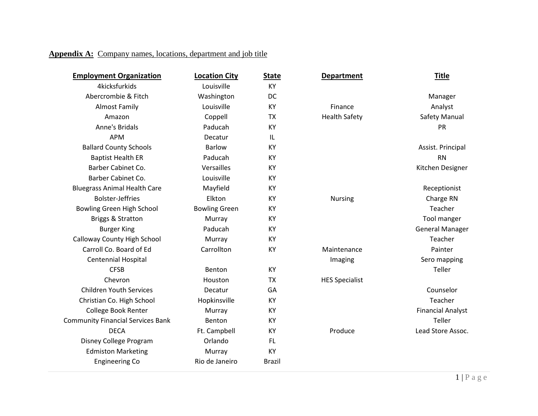## **Appendix A:** Company names, locations, department and job title

| <b>Employment Organization</b>           | <b>Location City</b> | <b>State</b>  | <b>Department</b>     | <u>Title</u>             |
|------------------------------------------|----------------------|---------------|-----------------------|--------------------------|
| 4kicksfurkids                            | Louisville           | KY            |                       |                          |
| Abercrombie & Fitch                      | Washington           | DC            |                       | Manager                  |
| <b>Almost Family</b>                     | Louisville           | KY            | Finance               | Analyst                  |
| Amazon                                   | Coppell              | <b>TX</b>     | <b>Health Safety</b>  | Safety Manual            |
| Anne's Bridals                           | Paducah              | KY            |                       | <b>PR</b>                |
| <b>APM</b>                               | Decatur              | IL            |                       |                          |
| <b>Ballard County Schools</b>            | <b>Barlow</b>        | KY            |                       | Assist. Principal        |
| <b>Baptist Health ER</b>                 | Paducah              | KY            |                       | <b>RN</b>                |
| Barber Cabinet Co.                       | Versailles           | KY            |                       | Kitchen Designer         |
| Barber Cabinet Co.                       | Louisville           | KY            |                       |                          |
| <b>Bluegrass Animal Health Care</b>      | Mayfield             | KY            |                       | Receptionist             |
| <b>Bolster-Jeffries</b>                  | Elkton               | KY            | <b>Nursing</b>        | Charge RN                |
| Bowling Green High School                | <b>Bowling Green</b> | KY            |                       | Teacher                  |
| Briggs & Stratton                        | Murray               | KY            |                       | Tool manger              |
| <b>Burger King</b>                       | Paducah              | KY            |                       | <b>General Manager</b>   |
| Calloway County High School              | Murray               | KY            |                       | Teacher                  |
| Carroll Co. Board of Ed                  | Carrollton           | KY            | Maintenance           | Painter                  |
| Centennial Hospital                      |                      |               | Imaging               | Sero mapping             |
| <b>CFSB</b>                              | Benton               | KY            |                       | Teller                   |
| Chevron                                  | Houston              | <b>TX</b>     | <b>HES Specialist</b> |                          |
| <b>Children Youth Services</b>           | Decatur              | GA            |                       | Counselor                |
| Christian Co. High School                | Hopkinsville         | KY            |                       | Teacher                  |
| College Book Renter                      | Murray               | KY            |                       | <b>Financial Analyst</b> |
| <b>Community Financial Services Bank</b> | Benton               | KY            |                       | Teller                   |
| <b>DECA</b>                              | Ft. Campbell         | KY            | Produce               | Lead Store Assoc.        |
| Disney College Program                   | Orlando              | <b>FL</b>     |                       |                          |
| <b>Edmiston Marketing</b>                | Murray               | KY            |                       |                          |
| <b>Engineering Co</b>                    | Rio de Janeiro       | <b>Brazil</b> |                       |                          |
|                                          |                      |               |                       |                          |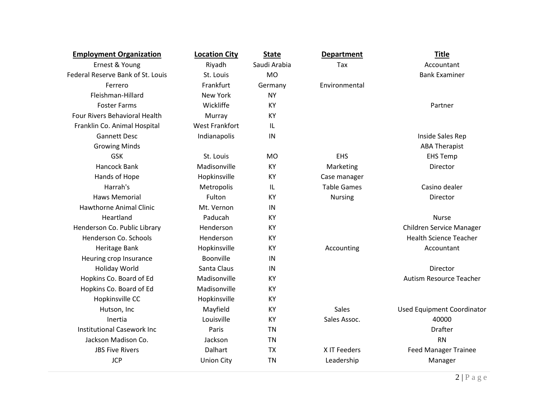| <b>Employment Organization</b>       | <b>Location City</b>  | <b>State</b> | <b>Department</b>  | <b>Title</b>                      |
|--------------------------------------|-----------------------|--------------|--------------------|-----------------------------------|
| Ernest & Young                       | Riyadh                | Saudi Arabia | Tax                | Accountant                        |
| Federal Reserve Bank of St. Louis    | St. Louis             | <b>MO</b>    |                    | <b>Bank Examiner</b>              |
| Ferrero                              | Frankfurt             | Germany      | Environmental      |                                   |
| Fleishman-Hillard                    | <b>New York</b>       | <b>NY</b>    |                    |                                   |
| <b>Foster Farms</b>                  | Wickliffe             | <b>KY</b>    |                    | Partner                           |
| <b>Four Rivers Behavioral Health</b> | Murray                | <b>KY</b>    |                    |                                   |
| Franklin Co. Animal Hospital         | <b>West Frankfort</b> | IL           |                    |                                   |
| <b>Gannett Desc</b>                  | Indianapolis          | IN           |                    | Inside Sales Rep                  |
| <b>Growing Minds</b>                 |                       |              |                    | <b>ABA Therapist</b>              |
| <b>GSK</b>                           | St. Louis             | <b>MO</b>    | <b>EHS</b>         | <b>EHS Temp</b>                   |
| Hancock Bank                         | Madisonville          | KY           | Marketing          | Director                          |
| Hands of Hope                        | Hopkinsville          | KY           | Case manager       |                                   |
| Harrah's                             | Metropolis            | IL           | <b>Table Games</b> | Casino dealer                     |
| <b>Haws Memorial</b>                 | Fulton                | <b>KY</b>    | <b>Nursing</b>     | Director                          |
| <b>Hawthorne Animal Clinic</b>       | Mt. Vernon            | IN           |                    |                                   |
| Heartland                            | Paducah               | <b>KY</b>    |                    | <b>Nurse</b>                      |
| Henderson Co. Public Library         | Henderson             | <b>KY</b>    |                    | Children Service Manager          |
| Henderson Co. Schools                | Henderson             | KY           |                    | <b>Health Science Teacher</b>     |
| Heritage Bank                        | Hopkinsville          | KY           | Accounting         | Accountant                        |
| Heuring crop Insurance               | Boonville             | IN           |                    |                                   |
| Holiday World                        | Santa Claus           | IN           |                    | Director                          |
| Hopkins Co. Board of Ed              | Madisonville          | KY           |                    | Autism Resource Teacher           |
| Hopkins Co. Board of Ed              | Madisonville          | <b>KY</b>    |                    |                                   |
| Hopkinsville CC                      | Hopkinsville          | <b>KY</b>    |                    |                                   |
| Hutson, Inc                          | Mayfield              | KY           | <b>Sales</b>       | <b>Used Equipment Coordinator</b> |
| Inertia                              | Louisville            | KY           | Sales Assoc.       | 40000                             |
| <b>Institutional Casework Inc.</b>   | Paris                 | <b>TN</b>    |                    | <b>Drafter</b>                    |
| Jackson Madison Co.                  | Jackson               | <b>TN</b>    |                    | <b>RN</b>                         |
| <b>JBS Five Rivers</b>               | Dalhart               | <b>TX</b>    | X IT Feeders       | <b>Feed Manager Trainee</b>       |
| <b>JCP</b>                           | <b>Union City</b>     | <b>TN</b>    | Leadership         | Manager                           |
|                                      |                       |              |                    |                                   |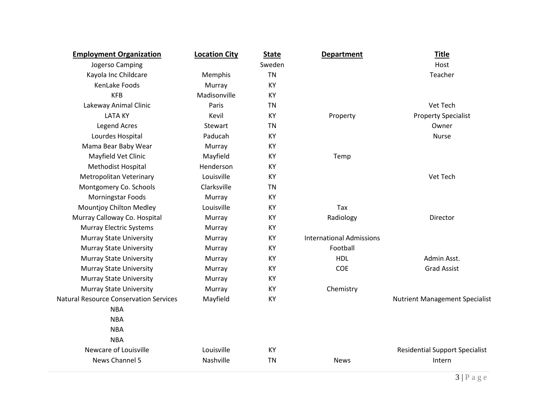| <b>Employment Organization</b>                | <b>Location City</b> | <b>State</b> | <b>Department</b>               | <b>Title</b>                          |
|-----------------------------------------------|----------------------|--------------|---------------------------------|---------------------------------------|
| Jogerso Camping                               |                      | Sweden       |                                 | Host                                  |
| Kayola Inc Childcare                          | Memphis              | <b>TN</b>    |                                 | Teacher                               |
| KenLake Foods                                 | Murray               | KY           |                                 |                                       |
| <b>KFB</b>                                    | Madisonville         | KY           |                                 |                                       |
| Lakeway Animal Clinic                         | Paris                | TN           |                                 | Vet Tech                              |
| <b>LATA KY</b>                                | Kevil                | KY           | Property                        | <b>Property Specialist</b>            |
| <b>Legend Acres</b>                           | <b>Stewart</b>       | <b>TN</b>    |                                 | Owner                                 |
| Lourdes Hospital                              | Paducah              | KY           |                                 | <b>Nurse</b>                          |
| Mama Bear Baby Wear                           | Murray               | KY           |                                 |                                       |
| Mayfield Vet Clinic                           | Mayfield             | KY           | Temp                            |                                       |
| Methodist Hospital                            | Henderson            | KY           |                                 |                                       |
| Metropolitan Veterinary                       | Louisville           | KY           |                                 | Vet Tech                              |
| Montgomery Co. Schools                        | Clarksville          | <b>TN</b>    |                                 |                                       |
| Morningstar Foods                             | Murray               | KY           |                                 |                                       |
| Mountjoy Chilton Medley                       | Louisville           | KY           | Tax                             |                                       |
| Murray Calloway Co. Hospital                  | Murray               | KY           | Radiology                       | Director                              |
| <b>Murray Electric Systems</b>                | Murray               | KY           |                                 |                                       |
| <b>Murray State University</b>                | Murray               | KY           | <b>International Admissions</b> |                                       |
| <b>Murray State University</b>                | Murray               | KY           | Football                        |                                       |
| <b>Murray State University</b>                | Murray               | KY           | <b>HDL</b>                      | Admin Asst.                           |
| <b>Murray State University</b>                | Murray               | KY           | <b>COE</b>                      | <b>Grad Assist</b>                    |
| <b>Murray State University</b>                | Murray               | KY           |                                 |                                       |
| <b>Murray State University</b>                | Murray               | KY           | Chemistry                       |                                       |
| <b>Natural Resource Conservation Services</b> | Mayfield             | KY           |                                 | <b>Nutrient Management Specialist</b> |
| <b>NBA</b>                                    |                      |              |                                 |                                       |
| <b>NBA</b>                                    |                      |              |                                 |                                       |
| <b>NBA</b>                                    |                      |              |                                 |                                       |
| <b>NBA</b>                                    |                      |              |                                 |                                       |
| Newcare of Louisville                         | Louisville           | KY           |                                 | <b>Residential Support Specialist</b> |
| News Channel 5                                | Nashville            | <b>TN</b>    | <b>News</b>                     | Intern                                |
|                                               |                      |              |                                 |                                       |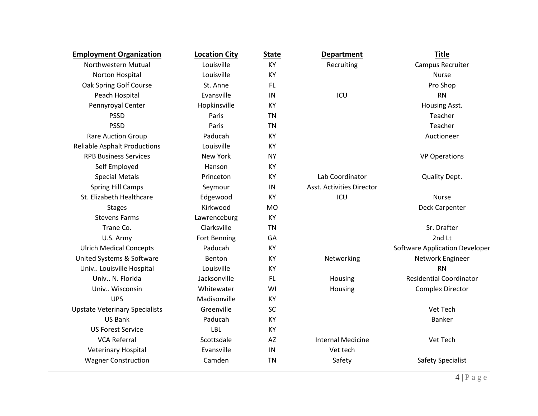| <b>Employment Organization</b>        | <b>Location City</b> | <b>State</b> | <b>Department</b>         | <b>Title</b>                          |
|---------------------------------------|----------------------|--------------|---------------------------|---------------------------------------|
| Northwestern Mutual                   | Louisville           | KY           | Recruiting                | Campus Recruiter                      |
| Norton Hospital                       | Louisville           | KY           |                           | <b>Nurse</b>                          |
| Oak Spring Golf Course                | St. Anne             | FL           |                           | Pro Shop                              |
| Peach Hospital                        | Evansville           | IN           | ICU                       | <b>RN</b>                             |
| Pennyroyal Center                     | Hopkinsville         | KY           |                           | Housing Asst.                         |
| <b>PSSD</b>                           | Paris                | <b>TN</b>    |                           | Teacher                               |
| <b>PSSD</b>                           | Paris                | <b>TN</b>    |                           | Teacher                               |
| <b>Rare Auction Group</b>             | Paducah              | KY           |                           | Auctioneer                            |
| <b>Reliable Asphalt Productions</b>   | Louisville           | KY           |                           |                                       |
| <b>RPB Business Services</b>          | New York             | <b>NY</b>    |                           | <b>VP Operations</b>                  |
| Self Employed                         | Hanson               | <b>KY</b>    |                           |                                       |
| <b>Special Metals</b>                 | Princeton            | KY           | Lab Coordinator           | <b>Quality Dept.</b>                  |
| <b>Spring Hill Camps</b>              | Seymour              | IN           | Asst. Activities Director |                                       |
| St. Elizabeth Healthcare              | Edgewood             | KY           | ICU                       | <b>Nurse</b>                          |
| <b>Stages</b>                         | Kirkwood             | <b>MO</b>    |                           | Deck Carpenter                        |
| <b>Stevens Farms</b>                  | Lawrenceburg         | KY           |                           |                                       |
| Trane Co.                             | Clarksville          | <b>TN</b>    |                           | Sr. Drafter                           |
| U.S. Army                             | Fort Benning         | GA           |                           | 2nd Lt                                |
| <b>Ulrich Medical Concepts</b>        | Paducah              | KY           |                           | <b>Software Application Developer</b> |
| United Systems & Software             | Benton               | <b>KY</b>    | Networking                | Network Engineer                      |
| Univ Louisville Hospital              | Louisville           | KY           |                           | <b>RN</b>                             |
| Univ N. Florida                       | Jacksonville         | <b>FL</b>    | Housing                   | <b>Residential Coordinator</b>        |
| Univ Wisconsin                        | Whitewater           | WI           | Housing                   | <b>Complex Director</b>               |
| <b>UPS</b>                            | Madisonville         | KY           |                           |                                       |
| <b>Upstate Veterinary Specialists</b> | Greenville           | SC           |                           | Vet Tech                              |
| <b>US Bank</b>                        | Paducah              | KY           |                           | Banker                                |
| <b>US Forest Service</b>              | <b>LBL</b>           | KY           |                           |                                       |
| <b>VCA Referral</b>                   | Scottsdale           | AZ           | <b>Internal Medicine</b>  | Vet Tech                              |
| <b>Veterinary Hospital</b>            | Evansville           | IN           | Vet tech                  |                                       |
| <b>Wagner Construction</b>            | Camden               | <b>TN</b>    | Safety                    | <b>Safety Specialist</b>              |
|                                       |                      |              |                           |                                       |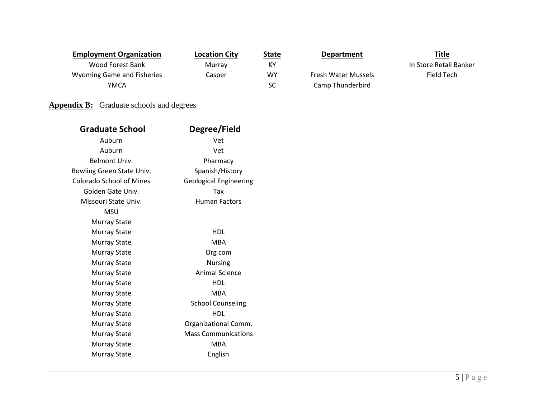| <b>Employment Organization</b>    | <b>Location City</b> | <b>State</b> | <b>Department</b>          | <u>Title</u>           |
|-----------------------------------|----------------------|--------------|----------------------------|------------------------|
| Wood Forest Bank                  | Murray               | КY           |                            | In Store Retail Banker |
| <b>Wyoming Game and Fisheries</b> | Casper               | <b>WY</b>    | <b>Fresh Water Mussels</b> | Field Tech             |
| YMCA                              |                      | SC           | Camp Thunderbird           |                        |
|                                   |                      |              |                            |                        |

## **Appendix B:** Graduate schools and degrees

| <b>Graduate School</b>          | Degree/Field                  |
|---------------------------------|-------------------------------|
| Auburn                          | Vet                           |
| Auburn                          | Vet                           |
| Belmont Univ.                   | Pharmacy                      |
| Bowling Green State Univ.       | Spanish/History               |
| <b>Colorado School of Mines</b> | <b>Geological Engineering</b> |
| Golden Gate Univ.               | Tax                           |
| Missouri State Univ.            | <b>Human Factors</b>          |
| MSU                             |                               |
| <b>Murray State</b>             |                               |
| Murray State                    | <b>HDL</b>                    |
| <b>Murray State</b>             | <b>MBA</b>                    |
| <b>Murray State</b>             | Org com                       |
| <b>Murray State</b>             | <b>Nursing</b>                |
| <b>Murray State</b>             | <b>Animal Science</b>         |
| Murray State                    | <b>HDL</b>                    |
| <b>Murray State</b>             | <b>MBA</b>                    |
| <b>Murray State</b>             | <b>School Counseling</b>      |
| <b>Murray State</b>             | <b>HDL</b>                    |
| Murray State                    | Organizational Comm.          |
| <b>Murray State</b>             | <b>Mass Communications</b>    |
| Murray State                    | <b>MBA</b>                    |
| Murray State                    | English                       |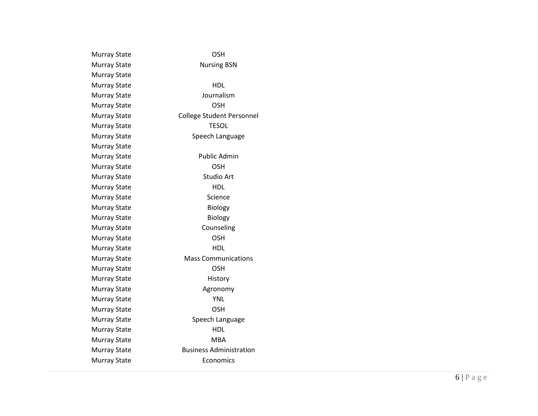| <b>Nursing BSN</b><br>HDL<br>Journalism<br>OSH<br><b>College Student Personnel</b><br><b>TESOL</b> |
|----------------------------------------------------------------------------------------------------|
|                                                                                                    |
|                                                                                                    |
|                                                                                                    |
|                                                                                                    |
|                                                                                                    |
|                                                                                                    |
|                                                                                                    |
| Speech Language                                                                                    |
|                                                                                                    |
| <b>Public Admin</b>                                                                                |
| <b>OSH</b>                                                                                         |
| <b>Studio Art</b>                                                                                  |
| <b>HDL</b>                                                                                         |
| Science                                                                                            |
| <b>Biology</b>                                                                                     |
| <b>Biology</b>                                                                                     |
| Counseling                                                                                         |
| <b>OSH</b>                                                                                         |
| HDL                                                                                                |
| Mass Communications                                                                                |
| <b>OSH</b>                                                                                         |
| History                                                                                            |
| Agronomy                                                                                           |
| <b>YNL</b>                                                                                         |
| <b>OSH</b>                                                                                         |
| Speech Language                                                                                    |
| HDL                                                                                                |
| <b>MBA</b>                                                                                         |
| <b>Business Administration</b>                                                                     |
| Economics                                                                                          |
|                                                                                                    |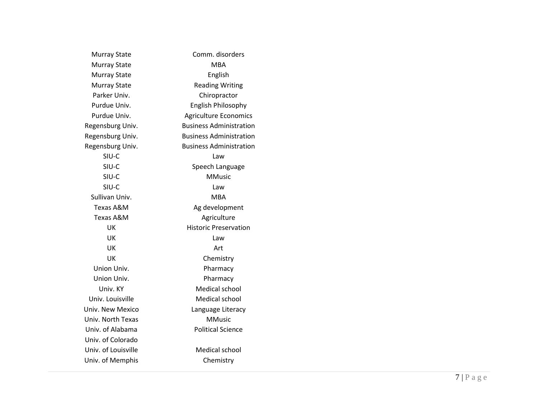| <b>Murray State</b> | Comm. disorders                |
|---------------------|--------------------------------|
| <b>Murray State</b> | MBA                            |
| <b>Murray State</b> | English                        |
| <b>Murray State</b> | <b>Reading Writing</b>         |
| Parker Univ.        | Chiropractor                   |
| Purdue Univ.        | <b>English Philosophy</b>      |
| Purdue Univ.        | <b>Agriculture Economics</b>   |
| Regensburg Univ.    | <b>Business Administration</b> |
| Regensburg Univ.    | <b>Business Administration</b> |
| Regensburg Univ.    | <b>Business Administration</b> |
| SIU-C               | Law                            |
| SIU-C               | Speech Language                |
| SIU-C               | <b>MMusic</b>                  |
| SIU-C               | Law                            |
| Sullivan Univ.      | <b>MBA</b>                     |
| Texas A&M           | Ag development                 |
| Texas A&M           | Agriculture                    |
| UK                  | <b>Historic Preservation</b>   |
| UK                  | Law                            |
| UK                  | Art                            |
| UK                  | Chemistry                      |
| Union Univ.         | Pharmacy                       |
| Union Univ.         | Pharmacy                       |
| Univ. KY            | <b>Medical school</b>          |
| Univ. Louisville    | <b>Medical school</b>          |
| Univ. New Mexico    | Language Literacy              |
| Univ. North Texas   | <b>MMusic</b>                  |
| Univ. of Alabama    | <b>Political Science</b>       |
| Univ. of Colorado   |                                |
| Univ. of Louisville | <b>Medical school</b>          |
| Univ. of Memphis    | Chemistry                      |
|                     |                                |